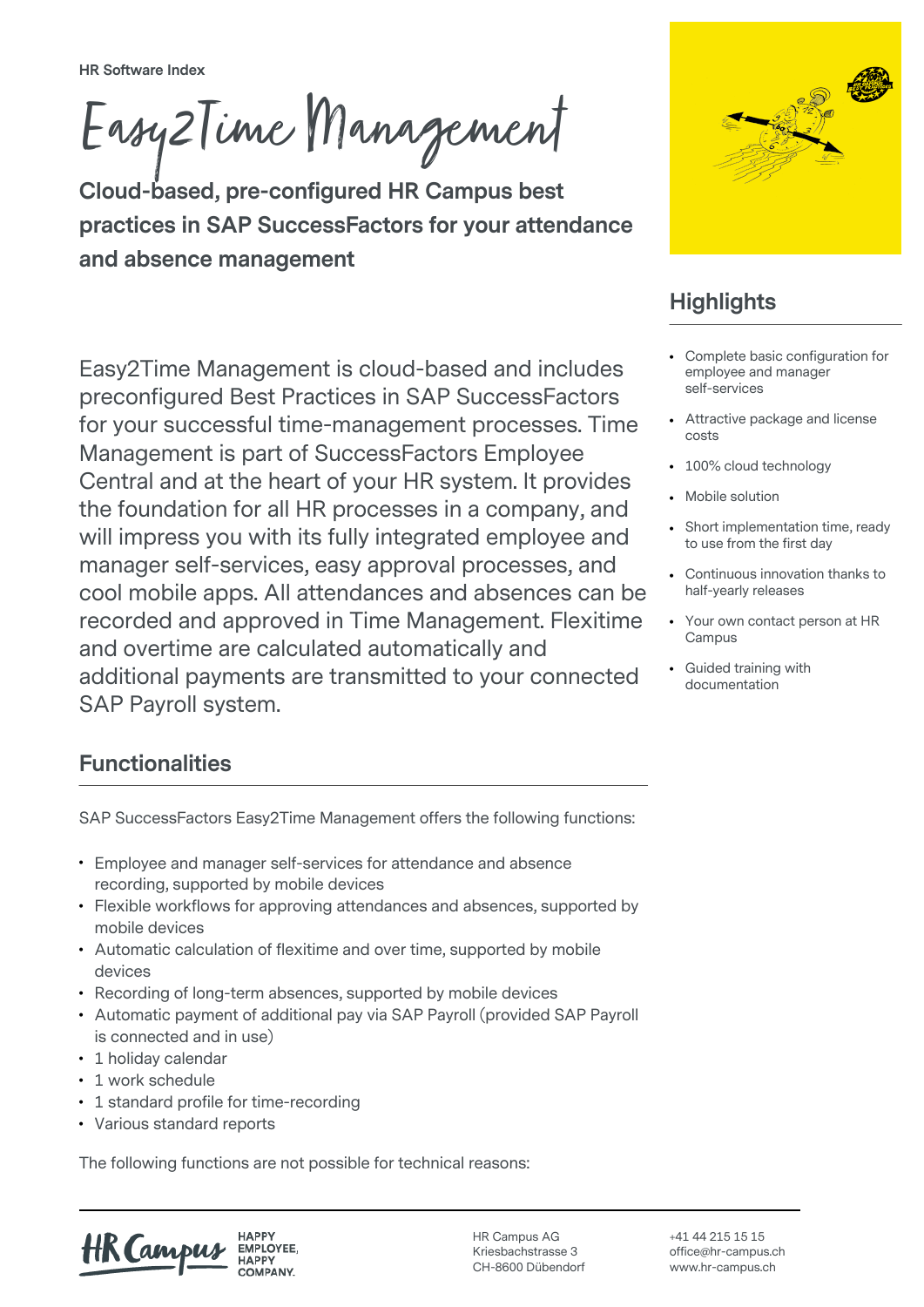**HR Software Index**

Easy2Time Management

**Cloud-based, pre-configured HR Campus best practices in SAP SuccessFactors for your attendance and absence management**

Easy2Time Management is cloud-based and includes preconfigured Best Practices in SAP SuccessFactors for your successful time-management processes. Time

Central and at the heart of your HR system. It provides the foundation for all HR processes in a company, and will impress you with its fully integrated employee and manager self-services, easy approval processes, and cool mobile apps. All attendances and absences can be recorded and approved in Time Management. Flexitime

Management is part of SuccessFactors Employee

and overtime are calculated automatically and



## **Highlights**

- Complete basic configuration for employee and manager self-services
- Attractive package and license costs
- 100% cloud technology
- Mobile solution
- Short implementation time, ready to use from the first day
- Continuous innovation thanks to half-yearly releases
- Your own contact person at HR Campus
- Guided training with documentation

## **Functionalities**

SAP Payroll system.

SAP SuccessFactors Easy2Time Management offers the following functions:

additional payments are transmitted to your connected

- Employee and manager self-services for attendance and absence recording, supported by mobile devices
- Flexible workflows for approving attendances and absences, supported by mobile devices
- Automatic calculation of flexitime and over time, supported by mobile devices
- Recording of long-term absences, supported by mobile devices
- Automatic payment of additional pay via SAP Payroll (provided SAP Payroll is connected and in use)
- 1 holiday calendar
- 1 work schedule
- 1 standard profile for time-recording
- Various standard reports

The following functions are not possible for technical reasons:

HK (am EMPLOYEE.

HR Campus AG Kriesbachstrasse 3 CH-8600 Dübendorf +41 44 215 15 15 office@hr-campus.ch www.hr-campus.ch